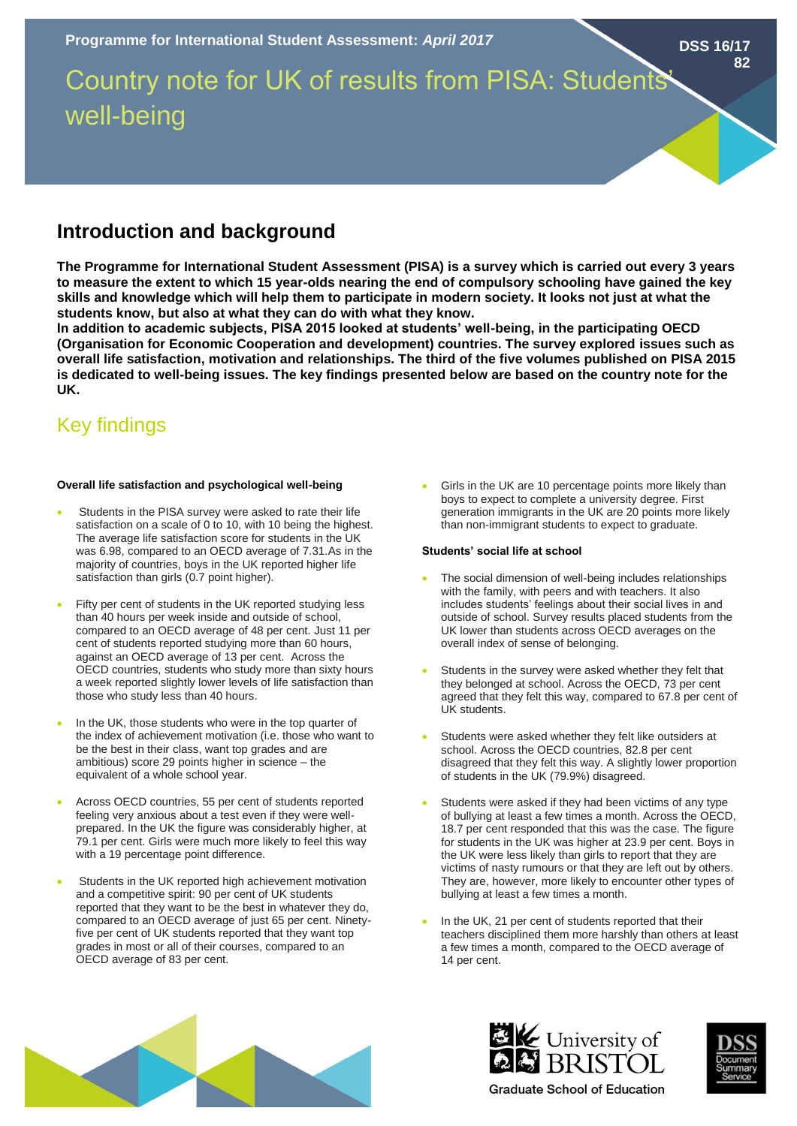Country note for UK of results from PISA: Students' well-being

# **Introduction and background**

**The Programme for International Student Assessment (PISA) is a survey which is carried out every 3 years to measure the extent to which 15 year-olds nearing the end of compulsory schooling have gained the key skills and knowledge which will help them to participate in modern society. It looks not just at what the students know, but also at what they can do with what they know.** 

**In addition to academic subjects, PISA 2015 looked at students' well-being, in the participating OECD (Organisation for Economic Cooperation and development) countries. The survey explored issues such as overall life satisfaction, motivation and relationships. The third of the five volumes published on PISA 2015 is dedicated to well-being issues. The key findings presented below are based on the country note for the UK.**

# Key findings

# **Overall life satisfaction and psychological well-being**

- Students in the PISA survey were asked to rate their life satisfaction on a scale of 0 to 10, with 10 being the highest. The average life satisfaction score for students in the UK was 6.98, compared to an OECD average of 7.31.As in the majority of countries, boys in the UK reported higher life satisfaction than girls (0.7 point higher).
- Fifty per cent of students in the UK reported studying less than 40 hours per week inside and outside of school, compared to an OECD average of 48 per cent. Just 11 per cent of students reported studying more than 60 hours, against an OECD average of 13 per cent. Across the OECD countries, students who study more than sixty hours a week reported slightly lower levels of life satisfaction than those who study less than 40 hours.
- In the UK, those students who were in the top quarter of the index of achievement motivation (i.e. those who want to be the best in their class, want top grades and are ambitious) score 29 points higher in science – the equivalent of a whole school year.
- Across OECD countries, 55 per cent of students reported feeling very anxious about a test even if they were wellprepared. In the UK the figure was considerably higher, at 79.1 per cent. Girls were much more likely to feel this way with a 19 percentage point difference.
- Students in the UK reported high achievement motivation and a competitive spirit: 90 per cent of UK students reported that they want to be the best in whatever they do, compared to an OECD average of just 65 per cent. Ninetyfive per cent of UK students reported that they want top grades in most or all of their courses, compared to an OECD average of 83 per cent.

Girls in the UK are 10 percentage points more likely than boys to expect to complete a university degree. First generation immigrants in the UK are 20 points more likely than non-immigrant students to expect to graduate.

#### **Students' social life at school**

- The social dimension of well-being includes relationships with the family, with peers and with teachers. It also includes students' feelings about their social lives in and outside of school. Survey results placed students from the UK lower than students across OECD averages on the overall index of sense of belonging.
- Students in the survey were asked whether they felt that they belonged at school. Across the OECD, 73 per cent agreed that they felt this way, compared to 67.8 per cent of UK students.
- Students were asked whether they felt like outsiders at school. Across the OECD countries, 82.8 per cent disagreed that they felt this way. A slightly lower proportion of students in the UK (79.9%) disagreed.
- Students were asked if they had been victims of any type of bullying at least a few times a month. Across the OECD, 18.7 per cent responded that this was the case. The figure for students in the UK was higher at 23.9 per cent. Boys in the UK were less likely than girls to report that they are victims of nasty rumours or that they are left out by others. They are, however, more likely to encounter other types of bullying at least a few times a month.
- In the UK, 21 per cent of students reported that their teachers disciplined them more harshly than others at least a few times a month, compared to the OECD average of 14 per cent.







**DSS 16/17**

**82**

**Graduate School of Education**